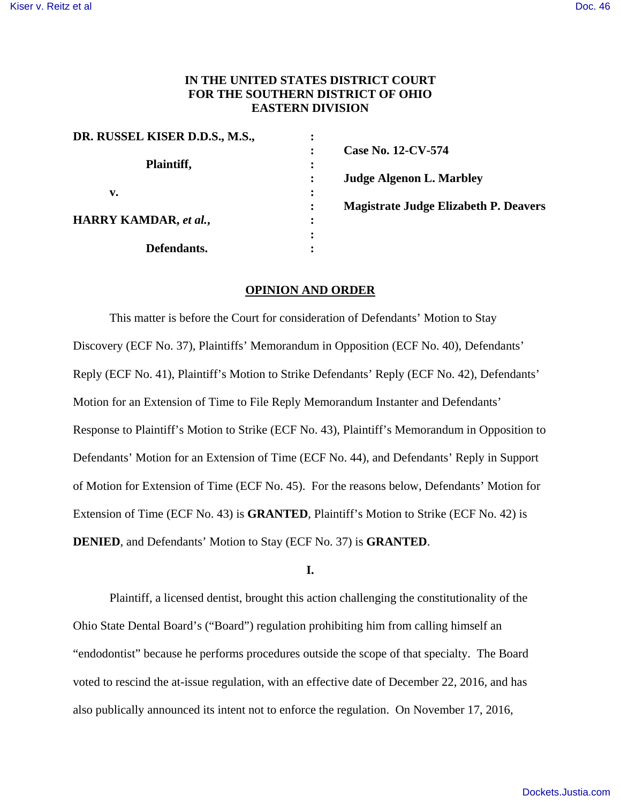# **IN THE UNITED STATES DISTRICT COURT FOR THE SOUTHERN DISTRICT OF OHIO EASTERN DIVISION**

| DR. RUSSEL KISER D.D.S., M.S., |                                                                |
|--------------------------------|----------------------------------------------------------------|
|                                | Case No. 12-CV-574                                             |
| Plaintiff,                     |                                                                |
|                                | <b>Judge Algenon L. Marbley</b>                                |
| v.                             |                                                                |
|                                | <b>Magistrate Judge Elizabeth P. Deavers</b><br>$\ddot{\cdot}$ |
| HARRY KAMDAR, et al.,          |                                                                |
|                                |                                                                |
| Defendants.                    |                                                                |

## **OPINION AND ORDER**

 This matter is before the Court for consideration of Defendants' Motion to Stay Discovery (ECF No. 37), Plaintiffs' Memorandum in Opposition (ECF No. 40), Defendants' Reply (ECF No. 41), Plaintiff's Motion to Strike Defendants' Reply (ECF No. 42), Defendants' Motion for an Extension of Time to File Reply Memorandum Instanter and Defendants' Response to Plaintiff's Motion to Strike (ECF No. 43), Plaintiff's Memorandum in Opposition to Defendants' Motion for an Extension of Time (ECF No. 44), and Defendants' Reply in Support of Motion for Extension of Time (ECF No. 45). For the reasons below, Defendants' Motion for Extension of Time (ECF No. 43) is **GRANTED**, Plaintiff's Motion to Strike (ECF No. 42) is **DENIED**, and Defendants' Motion to Stay (ECF No. 37) is **GRANTED**.

## **I.**

Plaintiff, a licensed dentist, brought this action challenging the constitutionality of the Ohio State Dental Board's ("Board") regulation prohibiting him from calling himself an "endodontist" because he performs procedures outside the scope of that specialty. The Board voted to rescind the at-issue regulation, with an effective date of December 22, 2016, and has also publically announced its intent not to enforce the regulation. On November 17, 2016,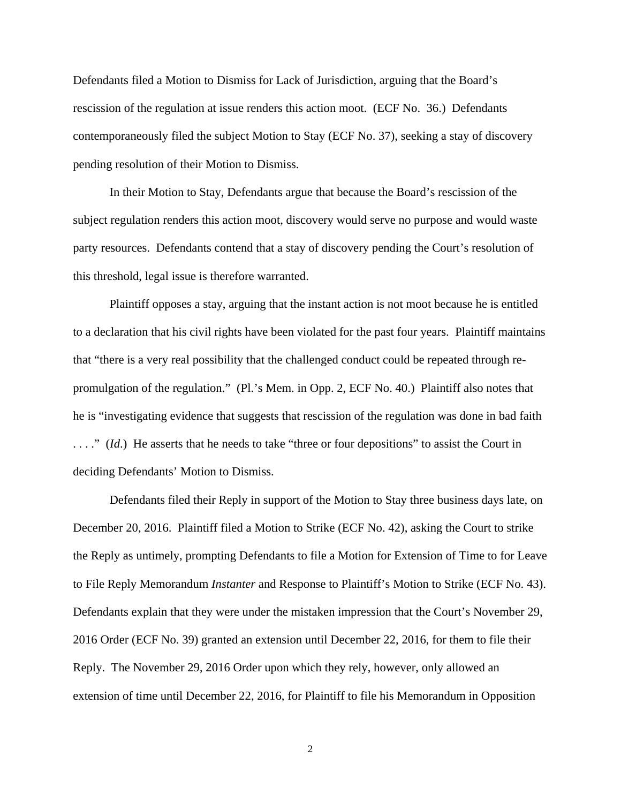Defendants filed a Motion to Dismiss for Lack of Jurisdiction, arguing that the Board's rescission of the regulation at issue renders this action moot. (ECF No. 36.) Defendants contemporaneously filed the subject Motion to Stay (ECF No. 37), seeking a stay of discovery pending resolution of their Motion to Dismiss.

In their Motion to Stay, Defendants argue that because the Board's rescission of the subject regulation renders this action moot, discovery would serve no purpose and would waste party resources. Defendants contend that a stay of discovery pending the Court's resolution of this threshold, legal issue is therefore warranted.

 Plaintiff opposes a stay, arguing that the instant action is not moot because he is entitled to a declaration that his civil rights have been violated for the past four years. Plaintiff maintains that "there is a very real possibility that the challenged conduct could be repeated through repromulgation of the regulation." (Pl.'s Mem. in Opp. 2, ECF No. 40.) Plaintiff also notes that he is "investigating evidence that suggests that rescission of the regulation was done in bad faith . . . ." (*Id*.) He asserts that he needs to take "three or four depositions" to assist the Court in deciding Defendants' Motion to Dismiss.

 Defendants filed their Reply in support of the Motion to Stay three business days late, on December 20, 2016. Plaintiff filed a Motion to Strike (ECF No. 42), asking the Court to strike the Reply as untimely, prompting Defendants to file a Motion for Extension of Time to for Leave to File Reply Memorandum *Instanter* and Response to Plaintiff's Motion to Strike (ECF No. 43). Defendants explain that they were under the mistaken impression that the Court's November 29, 2016 Order (ECF No. 39) granted an extension until December 22, 2016, for them to file their Reply. The November 29, 2016 Order upon which they rely, however, only allowed an extension of time until December 22, 2016, for Plaintiff to file his Memorandum in Opposition

2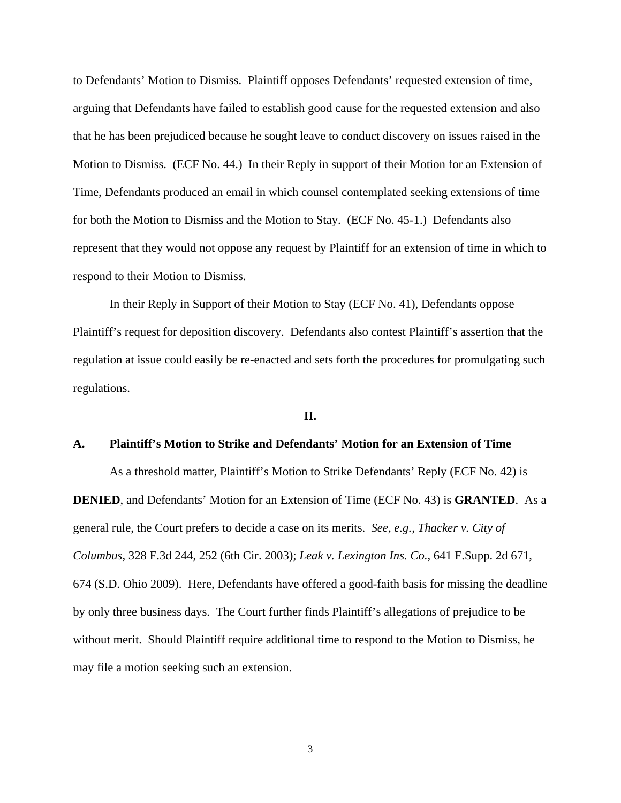to Defendants' Motion to Dismiss. Plaintiff opposes Defendants' requested extension of time, arguing that Defendants have failed to establish good cause for the requested extension and also that he has been prejudiced because he sought leave to conduct discovery on issues raised in the Motion to Dismiss. (ECF No. 44.) In their Reply in support of their Motion for an Extension of Time, Defendants produced an email in which counsel contemplated seeking extensions of time for both the Motion to Dismiss and the Motion to Stay. (ECF No. 45-1.) Defendants also represent that they would not oppose any request by Plaintiff for an extension of time in which to respond to their Motion to Dismiss.

 In their Reply in Support of their Motion to Stay (ECF No. 41), Defendants oppose Plaintiff's request for deposition discovery. Defendants also contest Plaintiff's assertion that the regulation at issue could easily be re-enacted and sets forth the procedures for promulgating such regulations.

**II.** 

#### **A. Plaintiff's Motion to Strike and Defendants' Motion for an Extension of Time**

 As a threshold matter, Plaintiff's Motion to Strike Defendants' Reply (ECF No. 42) is **DENIED**, and Defendants' Motion for an Extension of Time (ECF No. 43) is **GRANTED**. As a general rule, the Court prefers to decide a case on its merits. *See, e.g., Thacker v. City of Columbus*, 328 F.3d 244, 252 (6th Cir. 2003); *Leak v. Lexington Ins. Co.*, 641 F.Supp. 2d 671, 674 (S.D. Ohio 2009). Here, Defendants have offered a good-faith basis for missing the deadline by only three business days. The Court further finds Plaintiff's allegations of prejudice to be without merit. Should Plaintiff require additional time to respond to the Motion to Dismiss, he may file a motion seeking such an extension.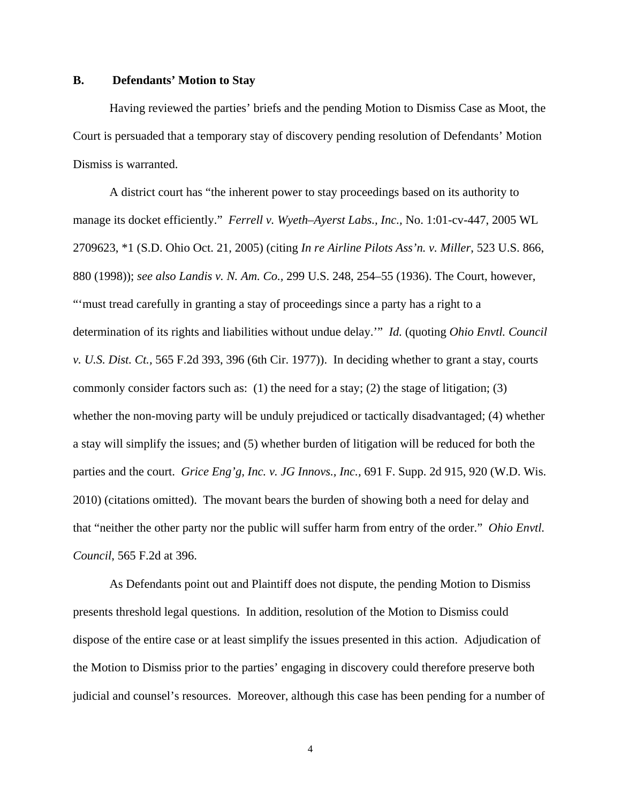## **B. Defendants' Motion to Stay**

Having reviewed the parties' briefs and the pending Motion to Dismiss Case as Moot, the Court is persuaded that a temporary stay of discovery pending resolution of Defendants' Motion Dismiss is warranted.

 A district court has "the inherent power to stay proceedings based on its authority to manage its docket efficiently." *Ferrell v. Wyeth–Ayerst Labs., Inc.,* No. 1:01-cv-447, 2005 WL 2709623, \*1 (S.D. Ohio Oct. 21, 2005) (citing *In re Airline Pilots Ass'n. v. Miller*, 523 U.S. 866, 880 (1998)); *see also Landis v. N. Am. Co.,* 299 U.S. 248, 254–55 (1936). The Court, however, "'must tread carefully in granting a stay of proceedings since a party has a right to a determination of its rights and liabilities without undue delay.'" *Id.* (quoting *Ohio Envtl. Council v. U.S. Dist. Ct.,* 565 F.2d 393, 396 (6th Cir. 1977)). In deciding whether to grant a stay, courts commonly consider factors such as: (1) the need for a stay; (2) the stage of litigation; (3) whether the non-moving party will be unduly prejudiced or tactically disadvantaged; (4) whether a stay will simplify the issues; and (5) whether burden of litigation will be reduced for both the parties and the court. *Grice Eng'g, Inc. v. JG Innovs., Inc.,* 691 F. Supp. 2d 915, 920 (W.D. Wis. 2010) (citations omitted). The movant bears the burden of showing both a need for delay and that "neither the other party nor the public will suffer harm from entry of the order." *Ohio Envtl. Council*, 565 F.2d at 396.

As Defendants point out and Plaintiff does not dispute, the pending Motion to Dismiss presents threshold legal questions. In addition, resolution of the Motion to Dismiss could dispose of the entire case or at least simplify the issues presented in this action. Adjudication of the Motion to Dismiss prior to the parties' engaging in discovery could therefore preserve both judicial and counsel's resources. Moreover, although this case has been pending for a number of

4